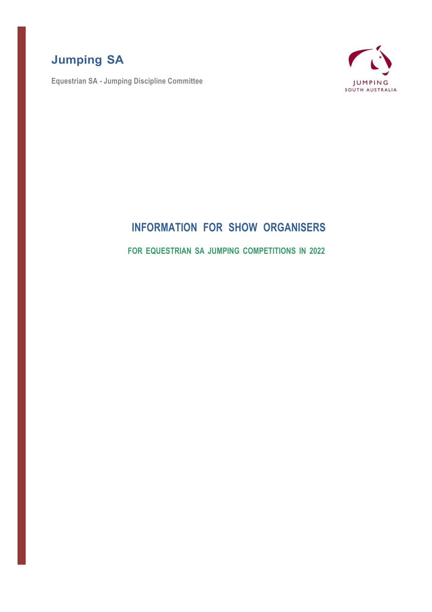# **Jumping SA**

**Equestrian SA - Jumping Discipline Committee**



## **INFORMATION FOR SHOW ORGANISERS**

**FOR EQUESTRIAN SA JUMPING COMPETITIONS IN 2022**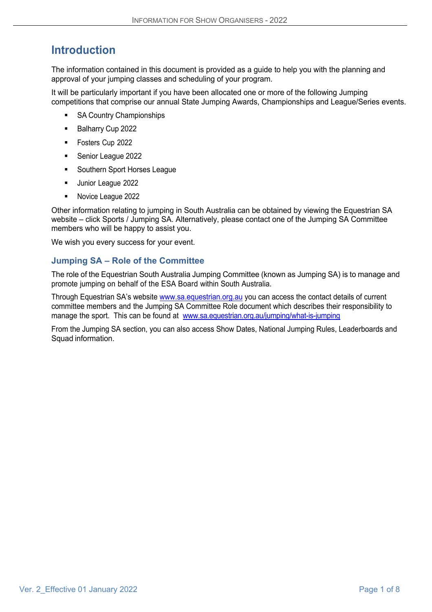# **Introduction**

The information contained in this document is provided as a guide to help you with the planning and approval of your jumping classes and scheduling of your program.

It will be particularly important if you have been allocated one or more of the following Jumping competitions that comprise our annual State Jumping Awards, Championships and League/Series events.

- SA Country Championships
- Balharry Cup 2022
- Fosters Cup 2022
- Senior League 2022
- Southern Sport Horses League
- Junior League 2022
- Novice League 2022

Other information relating to jumping in South Australia can be obtained by viewing the Equestrian SA website – click Sports / Jumping SA. Alternatively, please contact one of the Jumping SA Committee members who will be happy to assist you.

We wish you every success for your event.

## **Jumping SA – Role of the Committee**

The role of the Equestrian South Australia Jumping Committee (known as Jumping SA) is to manage and promote jumping on behalf of the ESA Board within South Australia.

Through Equestrian SA's website www.sa.equestrian.org.au you can access the contact details of current committee members and the Jumping SA Committee Role document which describes their responsibility to manage the sport. This can be found at www.sa.equestrian.org.au/jumping/what-is-jumping

From the Jumping SA section, you can also access Show Dates, National Jumping Rules, Leaderboards and Squad information.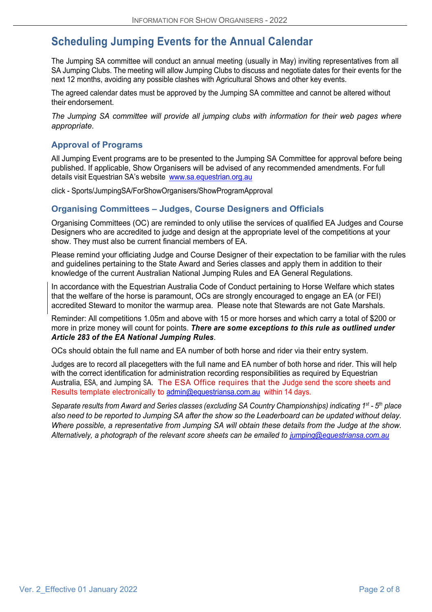# **Scheduling Jumping Events for the Annual Calendar**

The Jumping SA committee will conduct an annual meeting (usually in May) inviting representatives from all SA Jumping Clubs. The meeting will allow Jumping Clubs to discuss and negotiate dates for their events for the next 12 months, avoiding any possible clashes with Agricultural Shows and other key events.

The agreed calendar dates must be approved by the Jumping SA committee and cannot be altered without their endorsement.

*The Jumping SA committee will provide all jumping clubs with information for their web pages where appropriate.*

## **Approval of Programs**

All Jumping Event programs are to be presented to the Jumping SA Committee for approval before being published. If applicable, Show Organisers will be advised of any recommended amendments. For full details visit Equestrian SA's website www.sa.equestrian.org.au

click - Sports/JumpingSA/ForShowOrganisers/ShowProgramApproval

## **Organising Committees – Judges, Course Designers and Officials**

Organising Committees (OC) are reminded to only utilise the services of qualified EA Judges and Course Designers who are accredited to judge and design at the appropriate level of the competitions at your show. They must also be current financial members of EA.

Please remind your officiating Judge and Course Designer of their expectation to be familiar with the rules and guidelines pertaining to the State Award and Series classes and apply them in addition to their knowledge of the current Australian National Jumping Rules and EA General Regulations.

In accordance with the Equestrian Australia Code of Conduct pertaining to Horse Welfare which states that the welfare of the horse is paramount, OCs are strongly encouraged to engage an EA (or FEI) accredited Steward to monitor the warmup area. Please note that Stewards are not Gate Marshals.

Reminder: All competitions 1.05m and above with 15 or more horses and which carry a total of \$200 or more in prize money will count for points. *There are some exceptions to this rule as outlined under Article 283 of the EA National Jumping Rules*.

OCs should obtain the full name and EA number of both horse and rider via their entry system.

Judges are to record all placegetters with the full name and EA number of both horse and rider. This will help with the correct identification for administration recording responsibilities as required by Equestrian Australia, ESA, and Jumping SA. The ESA Office requires that the Judge send the score sheets and Results template electronically to admin@equestriansa.com.au within 14 days.

*Separate results from Award and Series classes (excluding SA Country Championships) indicating 1st - 5th place* also need to be reported to Jumping SA after the show so the Leaderboard can be updated without delay. *Where possible, a representative from Jumping SA will obtain these details from the Judge at the show. Alternatively, a photograph of the relevant score sheets can be emailed to jumping@equestriansa.com.au*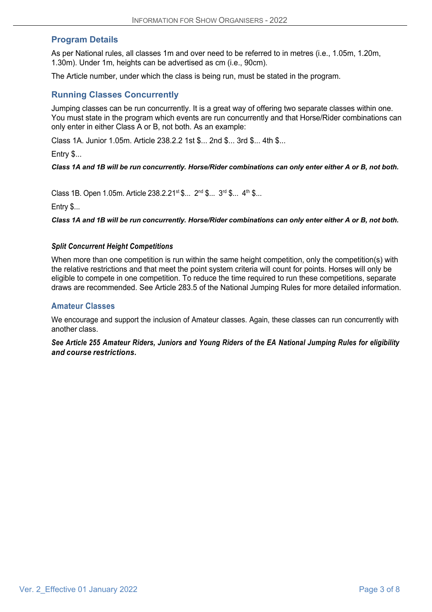## **Program Details**

As per National rules, all classes 1m and over need to be referred to in metres (i.e., 1.05m, 1.20m, 1.30m). Under 1m, heights can be advertised as cm (i.e., 90cm).

The Article number, under which the class is being run, must be stated in the program.

### **Running Classes Concurrently**

Jumping classes can be run concurrently. It is a great way of offering two separate classes within one. You must state in the program which events are run concurrently and that Horse/Rider combinations can only enter in either Class A or B, not both. As an example:

Class 1A. Junior 1.05m. Article 238.2.2 1st \$... 2nd \$... 3rd \$... 4th \$...

Entry \$...

#### *Class 1A and 1B will be run concurrently. Horse/Rider combinations can only enter either A or B, not both.*

Class 1B. Open 1.05m. Article 238.2.21<sup>st</sup> \$... 2<sup>nd</sup> \$... 3<sup>rd</sup> \$... 4<sup>th</sup> \$...

Entry \$...

*Class 1A and 1B will be run concurrently. Horse/Rider combinations can only enter either A or B, not both.*

#### *Split Concurrent Height Competitions*

When more than one competition is run within the same height competition, only the competition(s) with the relative restrictions and that meet the point system criteria will count for points. Horses will only be eligible to compete in one competition. To reduce the time required to run these competitions, separate draws are recommended. See Article 283.5 of the National Jumping Rules for more detailed information.

#### **Amateur Classes**

We encourage and support the inclusion of Amateur classes. Again, these classes can run concurrently with another class.

*See Article 255 Amateur Riders, Juniors and Young Riders of the EA National Jumping Rules for eligibility and course restrictions.*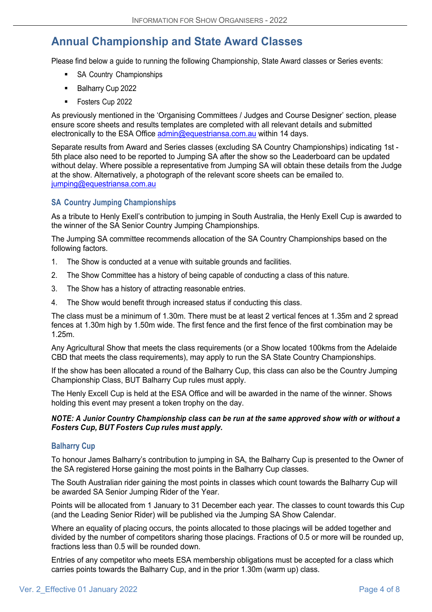## **Annual Championship and State Award Classes**

Please find below a guide to running the following Championship, State Award classes or Series events:

- SA Country Championships
- Balharry Cup 2022
- § Fosters Cup 2022

As previously mentioned in the 'Organising Committees / Judges and Course Designer' section, please ensure score sheets and results templates are completed with all relevant details and submitted electronically to the ESA Office admin@equestriansa.com.au within 14 days.

Separate results from Award and Series classes (excluding SA Country Championships) indicating 1st - 5th place also need to be reported to Jumping SA after the show so the Leaderboard can be updated without delay. Where possible a representative from Jumping SA will obtain these details from the Judge at the show. Alternatively, a photograph of the relevant score sheets can be emailed to. jumping@equestriansa.com.au

#### **SA Country Jumping Championships**

As a tribute to Henly Exell's contribution to jumping in South Australia, the Henly Exell Cup is awarded to the winner of the SA Senior Country Jumping Championships.

The Jumping SA committee recommends allocation of the SA Country Championships based on the following factors.

- 1. The Show is conducted at a venue with suitable grounds and facilities.
- 2. The Show Committee has a history of being capable of conducting a class of this nature.
- 3. The Show has a history of attracting reasonable entries.
- 4. The Show would benefit through increased status if conducting this class.

The class must be a minimum of 1.30m. There must be at least 2 vertical fences at 1.35m and 2 spread fences at 1.30m high by 1.50m wide. The first fence and the first fence of the first combination may be 1.25m.

Any Agricultural Show that meets the class requirements (or a Show located 100kms from the Adelaide CBD that meets the class requirements), may apply to run the SA State Country Championships.

If the show has been allocated a round of the Balharry Cup, this class can also be the Country Jumping Championship Class, BUT Balharry Cup rules must apply.

The Henly Excell Cup is held at the ESA Office and will be awarded in the name of the winner. Shows holding this event may present a token trophy on the day.

#### *NOTE: A Junior Country Championship class can be run at the same approved show with or without a Fosters Cup, BUT Fosters Cup rules must apply.*

#### **Balharry Cup**

To honour James Balharry's contribution to jumping in SA, the Balharry Cup is presented to the Owner of the SA registered Horse gaining the most points in the Balharry Cup classes.

The South Australian rider gaining the most points in classes which count towards the Balharry Cup will be awarded SA Senior Jumping Rider of the Year.

Points will be allocated from 1 January to 31 December each year. The classes to count towards this Cup (and the Leading Senior Rider) will be published via the Jumping SA Show Calendar.

Where an equality of placing occurs, the points allocated to those placings will be added together and divided by the number of competitors sharing those placings. Fractions of 0.5 or more will be rounded up, fractions less than 0.5 will be rounded down.

Entries of any competitor who meets ESA membership obligations must be accepted for a class which carries points towards the Balharry Cup, and in the prior 1.30m (warm up) class.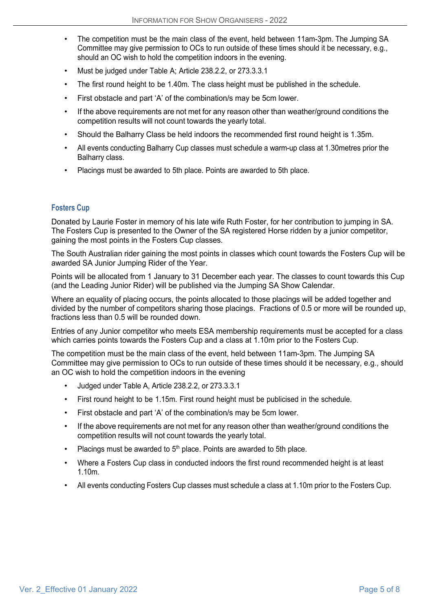- The competition must be the main class of the event, held between 11am-3pm. The Jumping SA Committee may give permission to OCs to run outside of these times should it be necessary, e.g., should an OC wish to hold the competition indoors in the evening.
- Must be judged under Table A; Article 238.2.2, or 273.3.3.1
- The first round height to be 1.40m. The class height must be published in the schedule.
- First obstacle and part 'A' of the combination/s may be 5cm lower.
- If the above requirements are not met for any reason other than weather/ground conditions the competition results will not count towards the yearly total.
- Should the Balharry Class be held indoors the recommended first round height is 1.35m.
- All events conducting Balharry Cup classes must schedule a warm-up class at 1.30metres prior the Balharry class.
- Placings must be awarded to 5th place. Points are awarded to 5th place.

#### **Fosters Cup**

Donated by Laurie Foster in memory of his late wife Ruth Foster, for her contribution to jumping in SA. The Fosters Cup is presented to the Owner of the SA registered Horse ridden by a junior competitor, gaining the most points in the Fosters Cup classes.

The South Australian rider gaining the most points in classes which count towards the Fosters Cup will be awarded SA Junior Jumping Rider of the Year.

Points will be allocated from 1 January to 31 December each year. The classes to count towards this Cup (and the Leading Junior Rider) will be published via the Jumping SA Show Calendar.

Where an equality of placing occurs, the points allocated to those placings will be added together and divided by the number of competitors sharing those placings. Fractions of 0.5 or more will be rounded up, fractions less than 0.5 will be rounded down.

Entries of any Junior competitor who meets ESA membership requirements must be accepted for a class which carries points towards the Fosters Cup and a class at 1.10m prior to the Fosters Cup.

The competition must be the main class of the event, held between 11am-3pm. The Jumping SA Committee may give permission to OCs to run outside of these times should it be necessary, e.g., should an OC wish to hold the competition indoors in the evening

- Judged under Table A, Article 238.2.2, or 273.3.3.1
- First round height to be 1.15m. First round height must be publicised in the schedule.
- First obstacle and part 'A' of the combination/s may be 5cm lower.
- If the above requirements are not met for any reason other than weather/ground conditions the competition results will not count towards the yearly total.
- Placings must be awarded to  $5<sup>th</sup>$  place. Points are awarded to 5th place.
- Where a Fosters Cup class in conducted indoors the first round recommended height is at least 1.10m.
- All events conducting Fosters Cup classes must schedule a class at 1.10m prior to the Fosters Cup.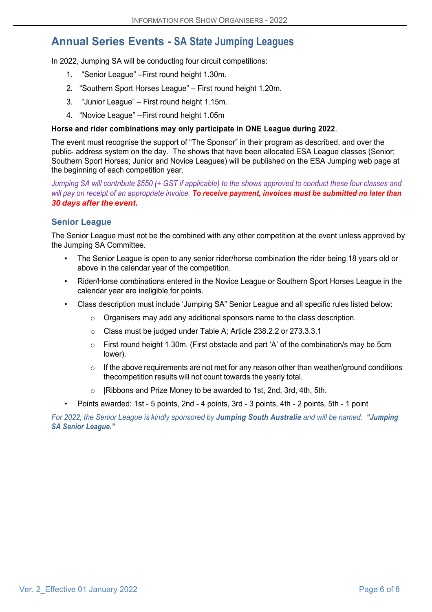## **Annual Series Events - SA State Jumping Leagues**

In 2022, Jumping SA will be conducting four circuit competitions:

- 1. "Senior League" –First round height 1.30m.
- 2. "Southern Sport Horses League" First round height 1.20m.
- 3. "Junior League" First round height 1.15m.
- 4. "Novice League" --First round height 1.05m

#### **Horse and rider combinations may only participate in ONE League during 2022**.

The event must recognise the support of "The Sponsor" in their program as described, and over the public- address system on the day. The shows that have been allocated ESA League classes (Senior; Southern Sport Horses; Junior and Novice Leagues) will be published on the ESA Jumping web page at the beginning of each competition year.

Jumping SA will contribute \$550 (+ GST if applicable) to the shows approved to conduct these four classes and will pay on receipt of an appropriate invoice. To receive payment, invoices must be submitted no later than *30 days after the event.*

#### **Senior League**

The Senior League must not be the combined with any other competition at the event unless approved by the Jumping SA Committee.

- The Senior League is open to any senior rider/horse combination the rider being 18 years old or above in the calendar year of the competition.
- Rider/Horse combinations entered in the Novice League or Southern Sport Horses League in the calendar year are ineligible for points.
- Class description must include 'Jumping SA" Senior League and all specific rules listed below:
	- $\circ$  Organisers may add any additional sponsors name to the class description.
	- o Class must be judged under Table A; Article 238.2.2 or 273.3.3.1
	- o First round height 1.30m. (First obstacle and part 'A' of the combination/s may be 5cm lower).
	- $\circ$  If the above requirements are not met for any reason other than weather/ground conditions thecompetition results will not count towards the yearly total.
	- |Ribbons and Prize Money to be awarded to 1st, 2nd, 3rd, 4th, 5th.
- Points awarded: 1st 5 points, 2nd 4 points, 3rd 3 points, 4th 2 points, 5th 1 point

*For 2022, the Senior League is kindly sponsored by Jumping South Australia and will be named: "Jumping SA Senior League."*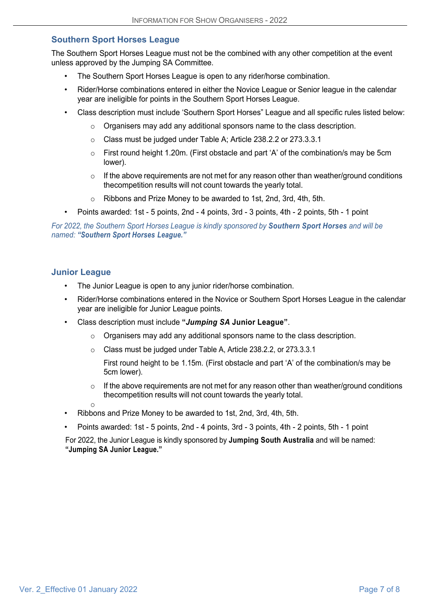## **Southern Sport Horses League**

The Southern Sport Horses League must not be the combined with any other competition at the event unless approved by the Jumping SA Committee.

- The Southern Sport Horses League is open to any rider/horse combination.
- Rider/Horse combinations entered in either the Novice League or Senior league in the calendar year are ineligible for points in the Southern Sport Horses League.
- Class description must include 'Southern Sport Horses" League and all specific rules listed below:
	- $\circ$  Organisers may add any additional sponsors name to the class description.
	- o Class must be judged under Table A; Article 238.2.2 or 273.3.3.1
	- $\circ$  First round height 1.20m. (First obstacle and part 'A' of the combination/s may be 5cm lower).
	- $\circ$  If the above requirements are not met for any reason other than weather/ground conditions thecompetition results will not count towards the yearly total.
	- o Ribbons and Prize Money to be awarded to 1st, 2nd, 3rd, 4th, 5th.
- Points awarded: 1st 5 points, 2nd 4 points, 3rd 3 points, 4th 2 points, 5th 1 point

*For 2022, the Southern Sport Horses League is kindly sponsored by Southern Sport Horses and will be named: "Southern Sport Horses League."*

#### **Junior League**

- The Junior League is open to any junior rider/horse combination.
- Rider/Horse combinations entered in the Novice or Southern Sport Horses League in the calendar year are ineligible for Junior League points.
- Class description must include **"***Jumping SA* **Junior League"**.
	- o Organisers may add any additional sponsors name to the class description.
	- o Class must be judged under Table A, Article 238.2.2, or 273.3.3.1
		- First round height to be 1.15m. (First obstacle and part 'A' of the combination/s may be 5cm lower).
	- $\circ$  If the above requirements are not met for any reason other than weather/ground conditions thecompetition results will not count towards the yearly total.
	- o
- Ribbons and Prize Money to be awarded to 1st, 2nd, 3rd, 4th, 5th.
- Points awarded: 1st 5 points, 2nd 4 points, 3rd 3 points, 4th 2 points, 5th 1 point

For 2022, the Junior League is kindly sponsored by **Jumping South Australia** and will be named: **"Jumping SA Junior League."**